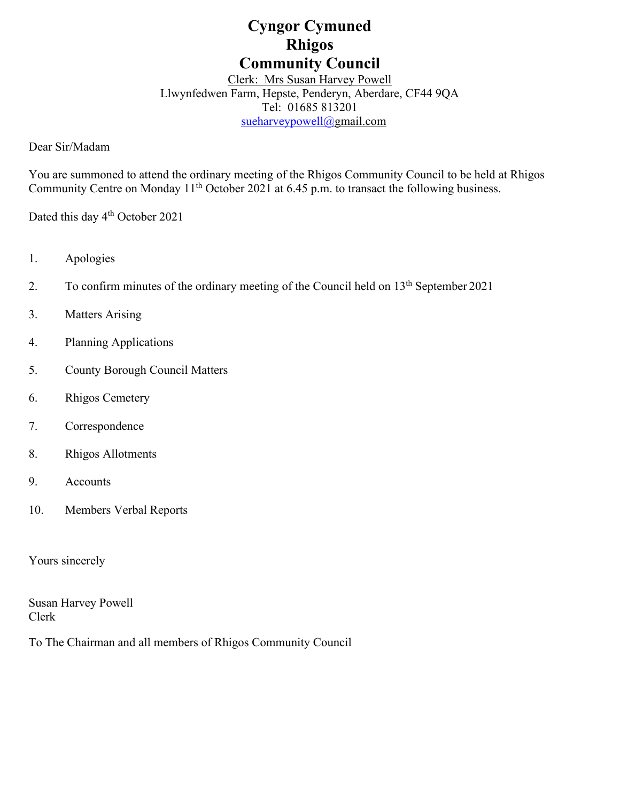# **Cyngor Cymuned Rhigos Community Council**

Clerk: Mrs Susan Harvey Powell Llwynfedwen Farm, Hepste, Penderyn, Aberdare, CF44 9QA Tel: 01685 813201 [sueharveypowell@g](mailto:sharveypowell@comin-infants.co.uk)mail.com

Dear Sir/Madam

You are summoned to attend the ordinary meeting of the Rhigos Community Council to be held at Rhigos Community Centre on Monday 11<sup>th</sup> October 2021 at 6.45 p.m. to transact the following business.

Dated this day 4<sup>th</sup> October 2021

- 1. Apologies
- 2. To confirm minutes of the ordinary meeting of the Council held on 13<sup>th</sup> September 2021
- 3. Matters Arising
- 4. Planning Applications
- 5. County Borough Council Matters
- 6. Rhigos Cemetery
- 7. Correspondence
- 8. Rhigos Allotments
- 9. Accounts
- 10. Members Verbal Reports

Yours sincerely

Susan Harvey Powell Clerk

To The Chairman and all members of Rhigos Community Council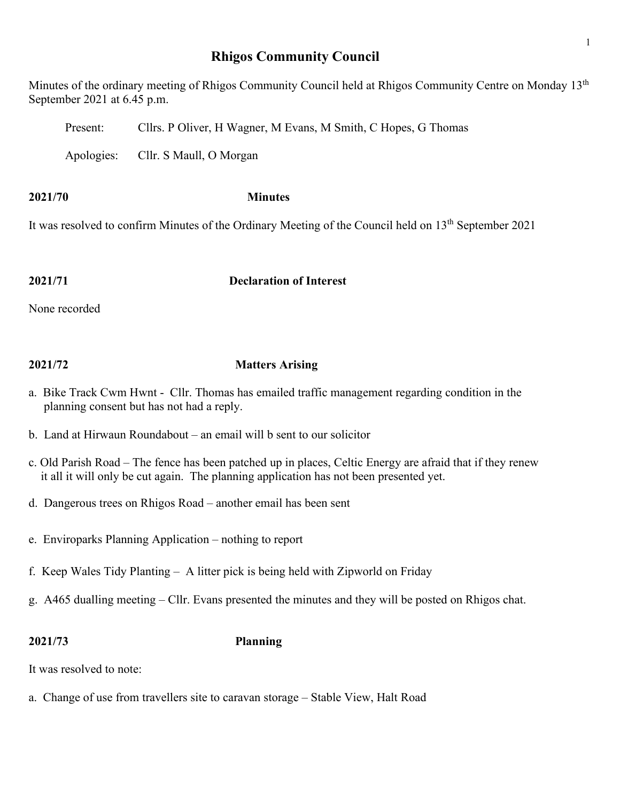## **Rhigos Community Council**

Minutes of the ordinary meeting of Rhigos Community Council held at Rhigos Community Centre on Monday 13<sup>th</sup> September 2021 at 6.45 p.m.

Present: Cllrs. P Oliver, H Wagner, M Evans, M Smith, C Hopes, G Thomas

Apologies: Cllr. S Maull, O Morgan

**2021/70 Minutes**

It was resolved to confirm Minutes of the Ordinary Meeting of the Council held on 13th September 2021

### **2021/71 Declaration of Interest**

None recorded

## **2021/72 Matters Arising**

- a. Bike Track Cwm Hwnt Cllr. Thomas has emailed traffic management regarding condition in the planning consent but has not had a reply.
- b. Land at Hirwaun Roundabout an email will b sent to our solicitor
- c. Old Parish Road The fence has been patched up in places, Celtic Energy are afraid that if they renew it all it will only be cut again. The planning application has not been presented yet.
- d. Dangerous trees on Rhigos Road another email has been sent
- e. Enviroparks Planning Application nothing to report
- f. Keep Wales Tidy Planting A litter pick is being held with Zipworld on Friday
- g. A465 dualling meeting Cllr. Evans presented the minutes and they will be posted on Rhigos chat.

## **2021/73 Planning**

It was resolved to note:

a. Change of use from travellers site to caravan storage – Stable View, Halt Road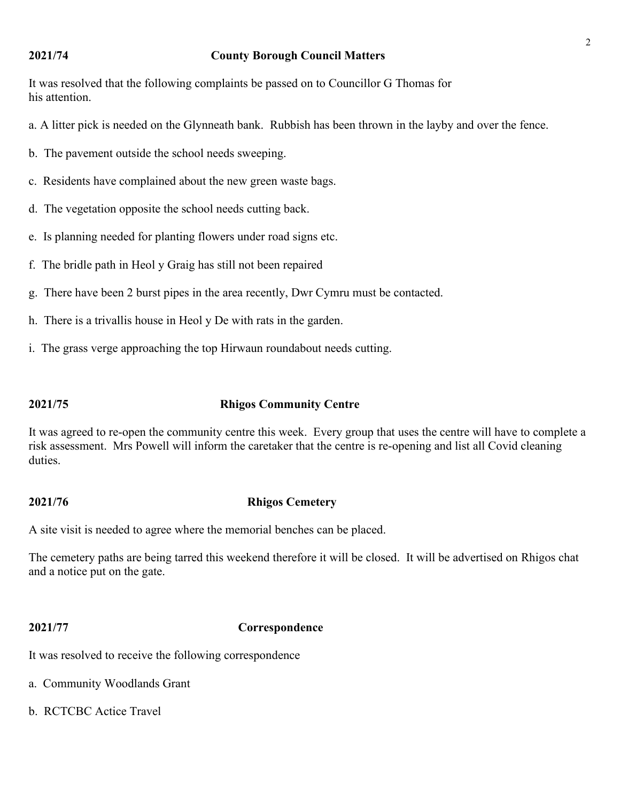#### **2021/74 County Borough Council Matters**

It was resolved that the following complaints be passed on to Councillor G Thomas for his attention.

a. A litter pick is needed on the Glynneath bank. Rubbish has been thrown in the layby and over the fence.

b. The pavement outside the school needs sweeping.

c. Residents have complained about the new green waste bags.

d. The vegetation opposite the school needs cutting back.

e. Is planning needed for planting flowers under road signs etc.

f. The bridle path in Heol y Graig has still not been repaired

g. There have been 2 burst pipes in the area recently, Dwr Cymru must be contacted.

h. There is a trivallis house in Heol y De with rats in the garden.

i. The grass verge approaching the top Hirwaun roundabout needs cutting.

### **2021/75 Rhigos Community Centre**

It was agreed to re-open the community centre this week. Every group that uses the centre will have to complete a risk assessment. Mrs Powell will inform the caretaker that the centre is re-opening and list all Covid cleaning duties.

#### **2021/76 Rhigos Cemetery**

A site visit is needed to agree where the memorial benches can be placed.

The cemetery paths are being tarred this weekend therefore it will be closed. It will be advertised on Rhigos chat and a notice put on the gate.

### **2021/77 Correspondence**

It was resolved to receive the following correspondence

- a. Community Woodlands Grant
- b. RCTCBC Actice Travel